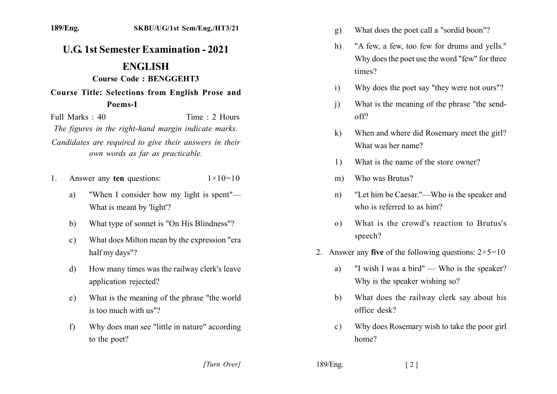## **U.G. 1st Semester Examination - 2021 ENGLISH**

## Course Code: BENGGEHT3

Course Title: Selections from English Prose and Poems-I

Full Marks  $\cdot$  40 Time  $\cdot$  2 Hours The figures in the right-hand margin indicate marks. Candidates are required to give their answers in their own words as far as practicable.

- Answer any ten questions:  $\mathbf{1}$  $1 \times 10 = 10$ 
	- "When I consider how my light is spent" a) What is meant by 'light'?
	- What type of sonnet is "On His Blindness"? b)
	- What does Milton mean by the expression "era  $c)$ half my days"?
	- How many times was the railway clerk's leave  $d)$ application rejected?
	- What is the meaning of the phrase "the world"  $e)$ is too much with us"?
	- Why does man see "little in nature" according  $f$ to the poet?
- What does the poet call a "sordid boon"?  $g)$
- "A few, a few, too few for drums and yells."  $h)$ Why does the poet use the word "few" for three times?
- Why does the poet say "they were not ours"?  $i)$
- What is the meaning of the phrase "the send- $\overline{1}$  $off2$
- When and where did Rosemary meet the girl?  $\mathbf{k}$ What was her name?
- What is the name of the store owner? 1)
- Who was Brutus?  $m)$
- "Let him be Caesar."—Who is the speaker and  $n$ ) who is referred to as him?
- What is the crowd's reaction to Brutus's  $\Omega$ speech?
- 2. Answer any five of the following questions:  $2 \times 5 = 10$ 
	- "I wish I was a bird" Who is the speaker? a) Why is the speaker wishing so?
	- What does the railway clerk say about his b) office desk?
	- Why does Rosemary wish to take the poor girl  $c$ ) home?

[Turn Over]

189/Eng.